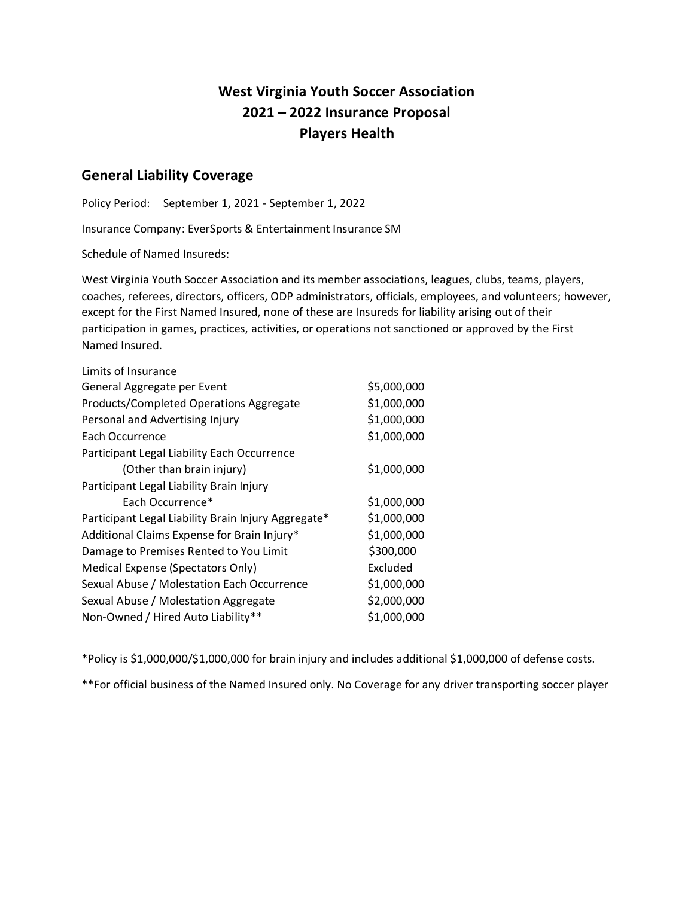# **West Virginia Youth Soccer Association 2021 – 2022 Insurance Proposal Players Health**

# **General Liability Coverage**

Policy Period: September 1, 2021 - September 1, 2022

Insurance Company: EverSports & Entertainment Insurance SM

Schedule of Named Insureds:

West Virginia Youth Soccer Association and its member associations, leagues, clubs, teams, players, coaches, referees, directors, officers, ODP administrators, officials, employees, and volunteers; however, except for the First Named Insured, none of these are Insureds for liability arising out of their participation in games, practices, activities, or operations not sanctioned or approved by the First Named Insured.

| Limits of Insurance                                 |             |
|-----------------------------------------------------|-------------|
| General Aggregate per Event                         | \$5,000,000 |
| Products/Completed Operations Aggregate             | \$1,000,000 |
| Personal and Advertising Injury                     | \$1,000,000 |
| Each Occurrence                                     | \$1,000,000 |
| Participant Legal Liability Each Occurrence         |             |
| (Other than brain injury)                           | \$1,000,000 |
| Participant Legal Liability Brain Injury            |             |
| Each Occurrence*                                    | \$1,000,000 |
| Participant Legal Liability Brain Injury Aggregate* | \$1,000,000 |
| Additional Claims Expense for Brain Injury*         | \$1,000,000 |
| Damage to Premises Rented to You Limit              | \$300,000   |
| Medical Expense (Spectators Only)                   | Excluded    |
| Sexual Abuse / Molestation Each Occurrence          | \$1,000,000 |
| Sexual Abuse / Molestation Aggregate                | \$2,000,000 |
| Non-Owned / Hired Auto Liability**                  | \$1,000,000 |

\*Policy is \$1,000,000/\$1,000,000 for brain injury and includes additional \$1,000,000 of defense costs.

\*\*For official business of the Named Insured only. No Coverage for any driver transporting soccer player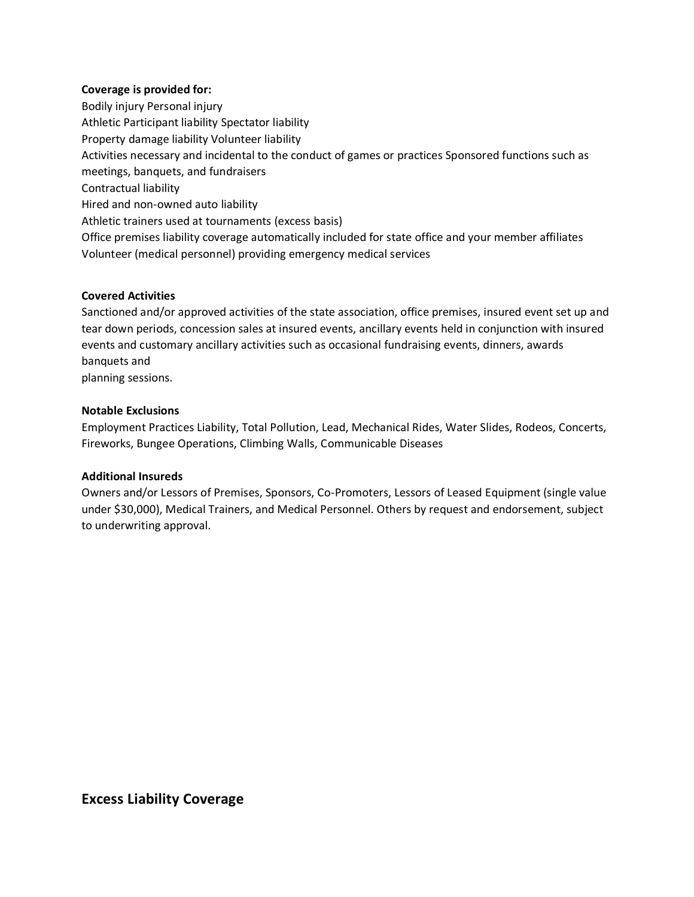#### **Coverage is provided for:**

Bodily injury Personal injury Athletic Participant liability Spectator liability Property damage liability Volunteer liability Activities necessary and incidental to the conduct of games or practices Sponsored functions such as meetings, banquets, and fundraisers Contractual liability Hired and non-owned auto liability Athletic trainers used at tournaments (excess basis) Office premises liability coverage automatically included for state office and your member affiliates Volunteer (medical personnel) providing emergency medical services

#### **Covered Activities**

Sanctioned and/or approved activities of the state association, office premises, insured event set up and tear down periods, concession sales at insured events, ancillary events held in conjunction with insured events and customary ancillary activities such as occasional fundraising events, dinners, awards banquets and

planning sessions.

### **Notable Exclusions**

Employment Practices Liability, Total Pollution, Lead, Mechanical Rides, Water Slides, Rodeos, Concerts, Fireworks, Bungee Operations, Climbing Walls, Communicable Diseases

### **Additional Insureds**

Owners and/or Lessors of Premises, Sponsors, Co-Promoters, Lessors of Leased Equipment (single value under \$30,000), Medical Trainers, and Medical Personnel. Others by request and endorsement, subject to underwriting approval.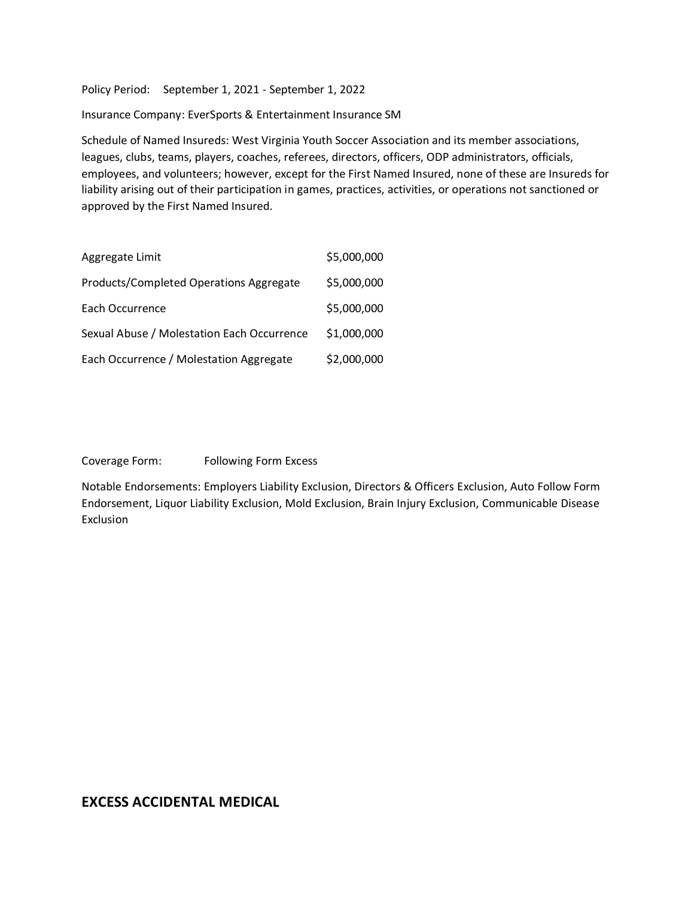Policy Period: September 1, 2021 - September 1, 2022

Insurance Company: EverSports & Entertainment Insurance SM

Schedule of Named Insureds: West Virginia Youth Soccer Association and its member associations, leagues, clubs, teams, players, coaches, referees, directors, officers, ODP administrators, officials, employees, and volunteers; however, except for the First Named Insured, none of these are Insureds for liability arising out of their participation in games, practices, activities, or operations not sanctioned or approved by the First Named Insured.

| Aggregate Limit                            | \$5,000,000 |
|--------------------------------------------|-------------|
| Products/Completed Operations Aggregate    | \$5,000,000 |
| Each Occurrence                            | \$5,000,000 |
| Sexual Abuse / Molestation Each Occurrence | \$1,000,000 |
| Each Occurrence / Molestation Aggregate    | \$2,000,000 |

Coverage Form: Following Form Excess

Notable Endorsements: Employers Liability Exclusion, Directors & Officers Exclusion, Auto Follow Form Endorsement, Liquor Liability Exclusion, Mold Exclusion, Brain Injury Exclusion, Communicable Disease Exclusion

# **EXCESS ACCIDENTAL MEDICAL**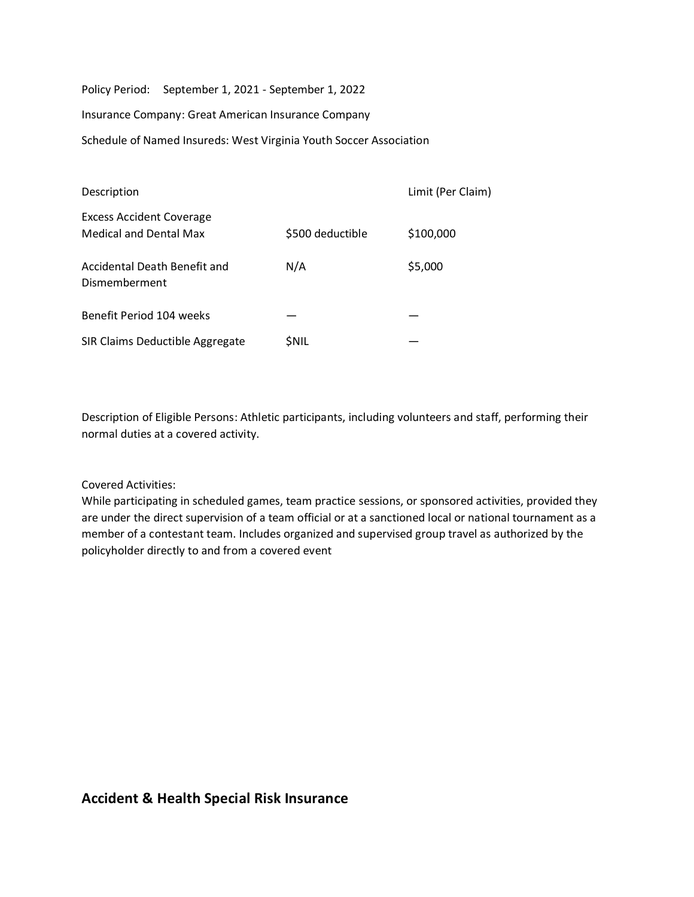Policy Period: September 1, 2021 - September 1, 2022

Insurance Company: Great American Insurance Company

Schedule of Named Insureds: West Virginia Youth Soccer Association

| Description                                                      |                  | Limit (Per Claim) |
|------------------------------------------------------------------|------------------|-------------------|
| <b>Excess Accident Coverage</b><br><b>Medical and Dental Max</b> | \$500 deductible | \$100,000         |
| Accidental Death Benefit and<br>Dismemberment                    | N/A              | \$5,000           |
| Benefit Period 104 weeks                                         |                  |                   |
| SIR Claims Deductible Aggregate                                  | SNIL             |                   |

Description of Eligible Persons: Athletic participants, including volunteers and staff, performing their normal duties at a covered activity.

### Covered Activities:

While participating in scheduled games, team practice sessions, or sponsored activities, provided they are under the direct supervision of a team official or at a sanctioned local or national tournament as a member of a contestant team. Includes organized and supervised group travel as authorized by the policyholder directly to and from a covered event

# **Accident & Health Special Risk Insurance**